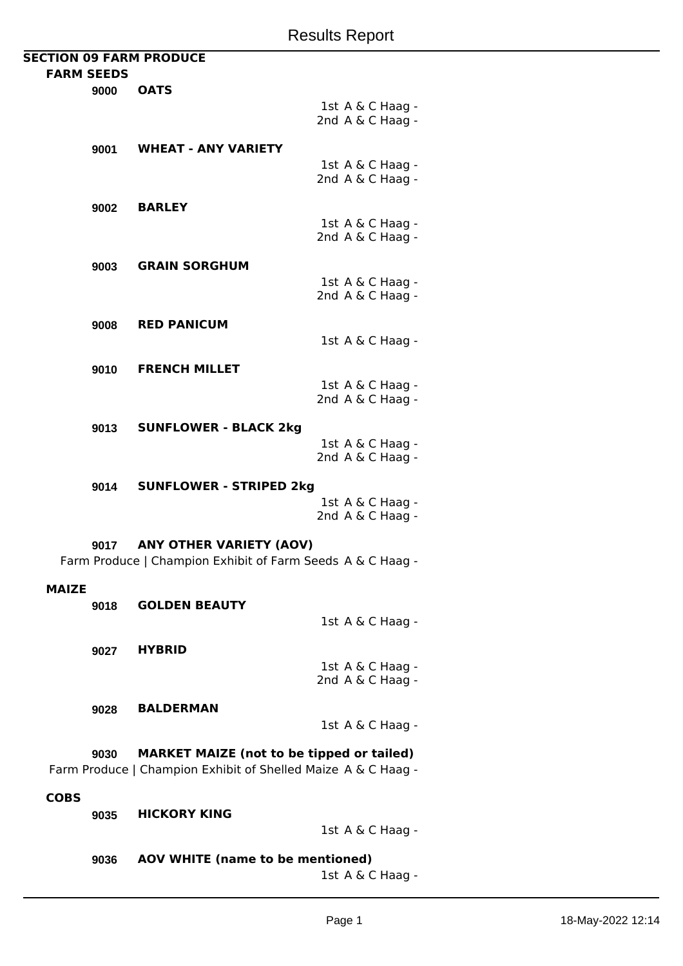| <b>SECTION 09 FARM PRODUCE</b> |                                                            |                  |
|--------------------------------|------------------------------------------------------------|------------------|
| <b>FARM SEEDS</b>              |                                                            |                  |
| 9000                           | <b>OATS</b>                                                |                  |
|                                |                                                            | 1st A & C Haag - |
|                                |                                                            | 2nd A & C Haag - |
|                                |                                                            |                  |
| 9001                           | <b>WHEAT - ANY VARIETY</b>                                 |                  |
|                                |                                                            | 1st A & C Haag - |
|                                |                                                            | 2nd A & C Haag - |
|                                |                                                            |                  |
| 9002                           | <b>BARLEY</b>                                              |                  |
|                                |                                                            | 1st A & C Haag - |
|                                |                                                            | 2nd A & C Haag - |
|                                |                                                            |                  |
| 9003                           | <b>GRAIN SORGHUM</b>                                       |                  |
|                                |                                                            | 1st A & C Haag - |
|                                |                                                            | 2nd A & C Haag - |
|                                |                                                            |                  |
| 9008                           | <b>RED PANICUM</b>                                         |                  |
|                                |                                                            | 1st A & C Haag - |
|                                |                                                            |                  |
| 9010                           | <b>FRENCH MILLET</b>                                       |                  |
|                                |                                                            | 1st A & C Haag - |
|                                |                                                            | 2nd A & C Haag - |
|                                |                                                            |                  |
| 9013                           | <b>SUNFLOWER - BLACK 2kg</b>                               |                  |
|                                |                                                            | 1st A & C Haag - |
|                                |                                                            | 2nd A & C Haag - |
|                                |                                                            |                  |
| 9014                           | <b>SUNFLOWER - STRIPED 2kg</b>                             |                  |
|                                |                                                            | 1st A & C Haag - |
|                                |                                                            | 2nd A & C Haag - |
|                                | <b>ANY OTHER VARIETY (AOV)</b>                             |                  |
| 9017                           |                                                            |                  |
|                                | Farm Produce   Champion Exhibit of Farm Seeds A & C Haag - |                  |
| MAIZE                          |                                                            |                  |
|                                | <b>GOLDEN BEAUTY</b>                                       |                  |
| 9018                           |                                                            |                  |

1st A & C Haag -

**9027 HYBRID**

1st A & C Haag - 2nd A & C Haag -

**9028 BALDERMAN**

1st A & C Haag -

**9030 MARKET MAIZE (not to be tipped or tailed)** Farm Produce | Champion Exhibit of Shelled Maize A & C Haag -

## **COBS**

**9035 HICKORY KING**

1st A & C Haag -

**9036 AOV WHITE (name to be mentioned)** 1st A & C Haag -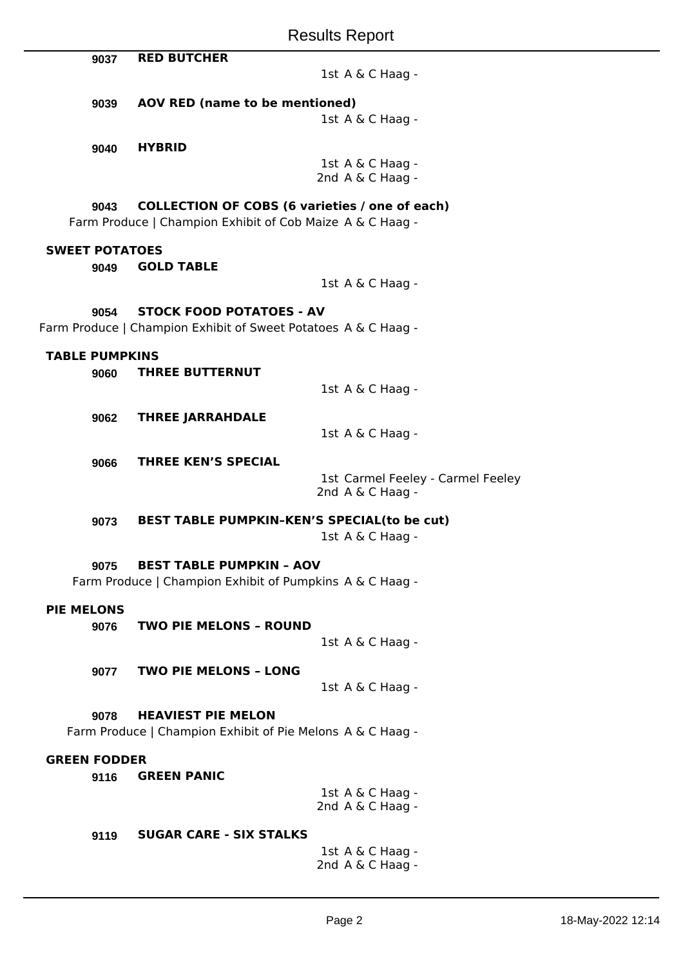|                                                            |                                                               | <b>Results Report</b>                                           |  |  |  |
|------------------------------------------------------------|---------------------------------------------------------------|-----------------------------------------------------------------|--|--|--|
|                                                            | 9037                                                          | <b>RED BUTCHER</b>                                              |  |  |  |
|                                                            |                                                               | 1st A & C Haag -                                                |  |  |  |
|                                                            | AOV RED (name to be mentioned)<br>9039                        |                                                                 |  |  |  |
|                                                            |                                                               | 1st A & C Haag -                                                |  |  |  |
|                                                            |                                                               | <b>HYBRID</b>                                                   |  |  |  |
|                                                            | 9040                                                          | 1st A & C Haag -                                                |  |  |  |
|                                                            |                                                               | 2nd A & C Haag -                                                |  |  |  |
|                                                            |                                                               |                                                                 |  |  |  |
|                                                            | <b>COLLECTION OF COBS (6 varieties / one of each)</b><br>9043 |                                                                 |  |  |  |
|                                                            |                                                               | Farm Produce   Champion Exhibit of Cob Maize A & C Haag -       |  |  |  |
|                                                            | <b>SWEET POTATOES</b>                                         |                                                                 |  |  |  |
|                                                            | 9049                                                          | <b>GOLD TABLE</b>                                               |  |  |  |
|                                                            |                                                               | 1st A & C Haag -                                                |  |  |  |
|                                                            | 9054                                                          | <b>STOCK FOOD POTATOES - AV</b>                                 |  |  |  |
|                                                            |                                                               | Farm Produce   Champion Exhibit of Sweet Potatoes A & C Haag -  |  |  |  |
|                                                            |                                                               |                                                                 |  |  |  |
|                                                            | <b>TABLE PUMPKINS</b>                                         |                                                                 |  |  |  |
|                                                            | 9060                                                          | <b>THREE BUTTERNUT</b>                                          |  |  |  |
|                                                            |                                                               | 1st A & C Haag -                                                |  |  |  |
|                                                            | 9062                                                          | <b>THREE JARRAHDALE</b>                                         |  |  |  |
|                                                            |                                                               | 1st A & C Haag -                                                |  |  |  |
|                                                            |                                                               |                                                                 |  |  |  |
|                                                            | 9066                                                          | <b>THREE KEN'S SPECIAL</b><br>1st Carmel Feeley - Carmel Feeley |  |  |  |
|                                                            |                                                               | 2nd A & C Haag -                                                |  |  |  |
|                                                            |                                                               |                                                                 |  |  |  |
|                                                            | 9073                                                          | <b>BEST TABLE PUMPKIN-KEN'S SPECIAL(to be cut)</b>              |  |  |  |
|                                                            |                                                               | 1st A & C Haag -                                                |  |  |  |
|                                                            | 9075                                                          | <b>BEST TABLE PUMPKIN - AOV</b>                                 |  |  |  |
|                                                            |                                                               | Farm Produce   Champion Exhibit of Pumpkins A & C Haag -        |  |  |  |
| <b>PIE MELONS</b>                                          |                                                               |                                                                 |  |  |  |
|                                                            | 9076                                                          | <b>TWO PIE MELONS - ROUND</b>                                   |  |  |  |
|                                                            |                                                               | 1st A & C Haag -                                                |  |  |  |
|                                                            |                                                               |                                                                 |  |  |  |
|                                                            | 9077                                                          | <b>TWO PIE MELONS - LONG</b>                                    |  |  |  |
|                                                            |                                                               | 1st A & C Haag -                                                |  |  |  |
|                                                            | 9078                                                          | <b>HEAVIEST PIE MELON</b>                                       |  |  |  |
| Farm Produce   Champion Exhibit of Pie Melons A & C Haag - |                                                               |                                                                 |  |  |  |
|                                                            |                                                               |                                                                 |  |  |  |
| <b>GREEN FODDER</b>                                        |                                                               |                                                                 |  |  |  |
|                                                            | 9116                                                          | <b>GREEN PANIC</b>                                              |  |  |  |
|                                                            |                                                               | 1st A & C Haag -<br>2nd A & C Haag -                            |  |  |  |
|                                                            |                                                               |                                                                 |  |  |  |
|                                                            | 9119                                                          | <b>SUGAR CARE - SIX STALKS</b>                                  |  |  |  |
|                                                            |                                                               | $1$ ct $\Delta$ $\&$ $\Gamma$ Haan -                            |  |  |  |

1st A & C Haag - 2nd A & C Haag -